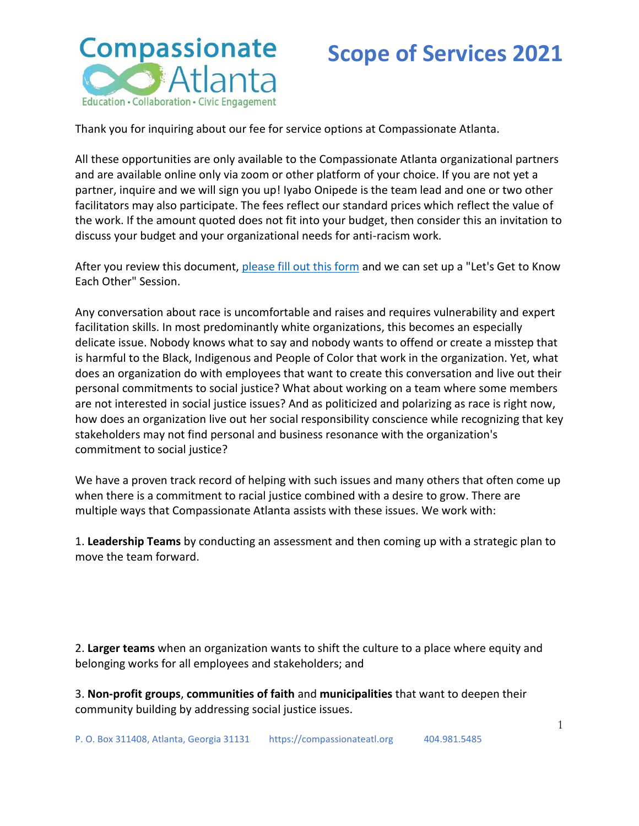

Thank you for inquiring about our fee for service options at Compassionate Atlanta.

All these opportunities are only available to the Compassionate Atlanta organizational partners and are available online only via zoom or other platform of your choice. If you are not yet a partner, inquire and we will sign you up! Iyabo Onipede is the team lead and one or two other facilitators may also participate. The fees reflect our standard prices which reflect the value of the work. If the amount quoted does not fit into your budget, then consider this an invitation to discuss your budget and your organizational needs for anti-racism work.

After you review this document, [please fill out this form](https://forms.gle/zi1hc5sgXHteiNmw5) and we can set up a "Let's Get to Know Each Other" Session.

Any conversation about race is uncomfortable and raises and requires vulnerability and expert facilitation skills. In most predominantly white organizations, this becomes an especially delicate issue. Nobody knows what to say and nobody wants to offend or create a misstep that is harmful to the Black, Indigenous and People of Color that work in the organization. Yet, what does an organization do with employees that want to create this conversation and live out their personal commitments to social justice? What about working on a team where some members are not interested in social justice issues? And as politicized and polarizing as race is right now, how does an organization live out her social responsibility conscience while recognizing that key stakeholders may not find personal and business resonance with the organization's commitment to social justice?

We have a proven track record of helping with such issues and many others that often come up when there is a commitment to racial justice combined with a desire to grow. There are multiple ways that Compassionate Atlanta assists with these issues. We work with:

1. **Leadership Teams** by conducting an assessment and then coming up with a strategic plan to move the team forward.

2. **Larger teams** when an organization wants to shift the culture to a place where equity and belonging works for all employees and stakeholders; and

3. **Non-profit groups**, **communities of faith** and **municipalities** that want to deepen their community building by addressing social justice issues.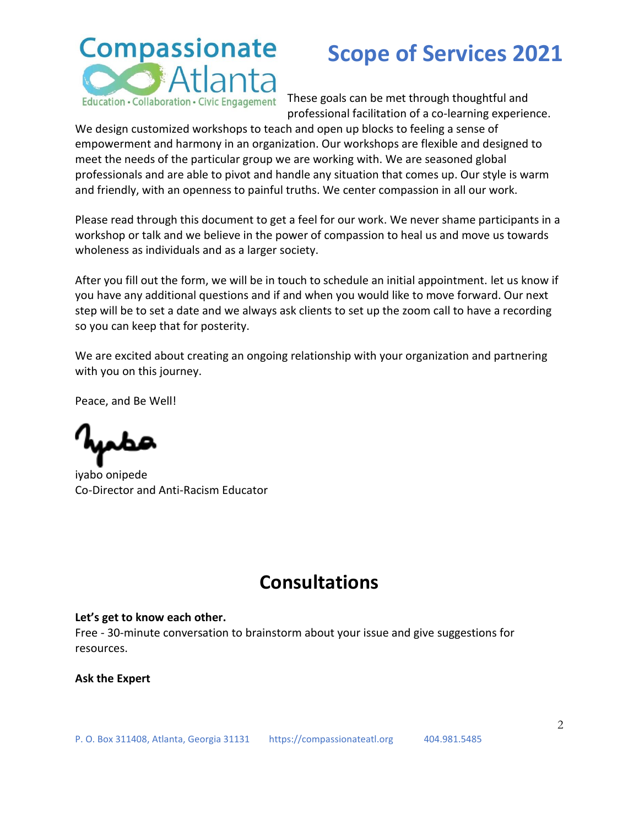# **Compassionate** Atlanta

### **Scope of Services 2021**

Education · Collaboration · Civic Engagement These goals can be met through thoughtful and professional facilitation of a co-learning experience.

We design customized workshops to teach and open up blocks to feeling a sense of empowerment and harmony in an organization. Our workshops are flexible and designed to meet the needs of the particular group we are working with. We are seasoned global professionals and are able to pivot and handle any situation that comes up. Our style is warm and friendly, with an openness to painful truths. We center compassion in all our work.

Please read through this document to get a feel for our work. We never shame participants in a workshop or talk and we believe in the power of compassion to heal us and move us towards wholeness as individuals and as a larger society.

After you fill out the form, we will be in touch to schedule an initial appointment. let us know if you have any additional questions and if and when you would like to move forward. Our next step will be to set a date and we always ask clients to set up the zoom call to have a recording so you can keep that for posterity.

We are excited about creating an ongoing relationship with your organization and partnering with you on this journey.

Peace, and Be Well!

iyabo onipede Co-Director and Anti-Racism Educator

### **Consultations**

#### **Let's get to know each other.**

Free - 30-minute conversation to brainstorm about your issue and give suggestions for resources.

#### **Ask the Expert**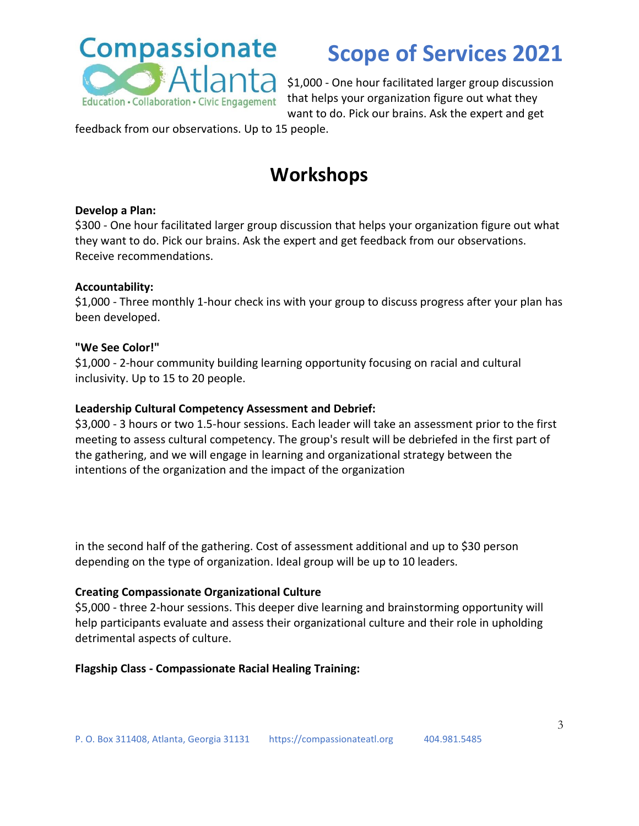

Atlanta \$1,000 - One hour facilitated larger group discussion Education · Collaboration · Civic Engagement that helps your organization figure out what they want to do. Pick our brains. Ask the expert and get

feedback from our observations. Up to 15 people.

### **Workshops**

#### **Develop a Plan:**

\$300 - One hour facilitated larger group discussion that helps your organization figure out what they want to do. Pick our brains. Ask the expert and get feedback from our observations. Receive recommendations.

#### **Accountability:**

\$1,000 - Three monthly 1-hour check ins with your group to discuss progress after your plan has been developed.

#### **"We See Color!"**

\$1,000 - 2-hour community building learning opportunity focusing on racial and cultural inclusivity. Up to 15 to 20 people.

#### **Leadership Cultural Competency Assessment and Debrief:**

\$3,000 - 3 hours or two 1.5-hour sessions. Each leader will take an assessment prior to the first meeting to assess cultural competency. The group's result will be debriefed in the first part of the gathering, and we will engage in learning and organizational strategy between the intentions of the organization and the impact of the organization

in the second half of the gathering. Cost of assessment additional and up to \$30 person depending on the type of organization. Ideal group will be up to 10 leaders.

#### **Creating Compassionate Organizational Culture**

\$5,000 - three 2-hour sessions. This deeper dive learning and brainstorming opportunity will help participants evaluate and assess their organizational culture and their role in upholding detrimental aspects of culture.

#### **Flagship Class - Compassionate Racial Healing Training:**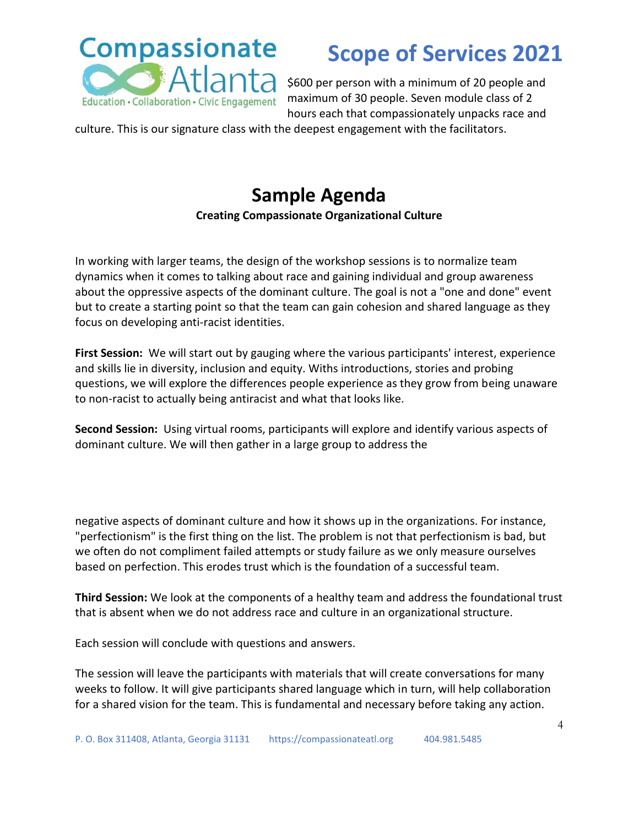

\$600 per person with a minimum of 20 people and maximum of 30 people. Seven module class of 2 hours each that compassionately unpacks race and

culture. This is our signature class with the deepest engagement with the facilitators.

## **Sample Agenda**

#### **Creating Compassionate Organizational Culture**

In working with larger teams, the design of the workshop sessions is to normalize team dynamics when it comes to talking about race and gaining individual and group awareness about the oppressive aspects of the dominant culture. The goal is not a "one and done" event but to create a starting point so that the team can gain cohesion and shared language as they focus on developing anti-racist identities.

**First Session:** We will start out by gauging where the various participants' interest, experience and skills lie in diversity, inclusion and equity. Withs introductions, stories and probing questions, we will explore the differences people experience as they grow from being unaware to non-racist to actually being antiracist and what that looks like.

**Second Session:** Using virtual rooms, participants will explore and identify various aspects of dominant culture. We will then gather in a large group to address the

negative aspects of dominant culture and how it shows up in the organizations. For instance, "perfectionism" is the first thing on the list. The problem is not that perfectionism is bad, but we often do not compliment failed attempts or study failure as we only measure ourselves based on perfection. This erodes trust which is the foundation of a successful team.

**Third Session:** We look at the components of a healthy team and address the foundational trust that is absent when we do not address race and culture in an organizational structure.

Each session will conclude with questions and answers.

The session will leave the participants with materials that will create conversations for many weeks to follow. It will give participants shared language which in turn, will help collaboration for a shared vision for the team. This is fundamental and necessary before taking any action.